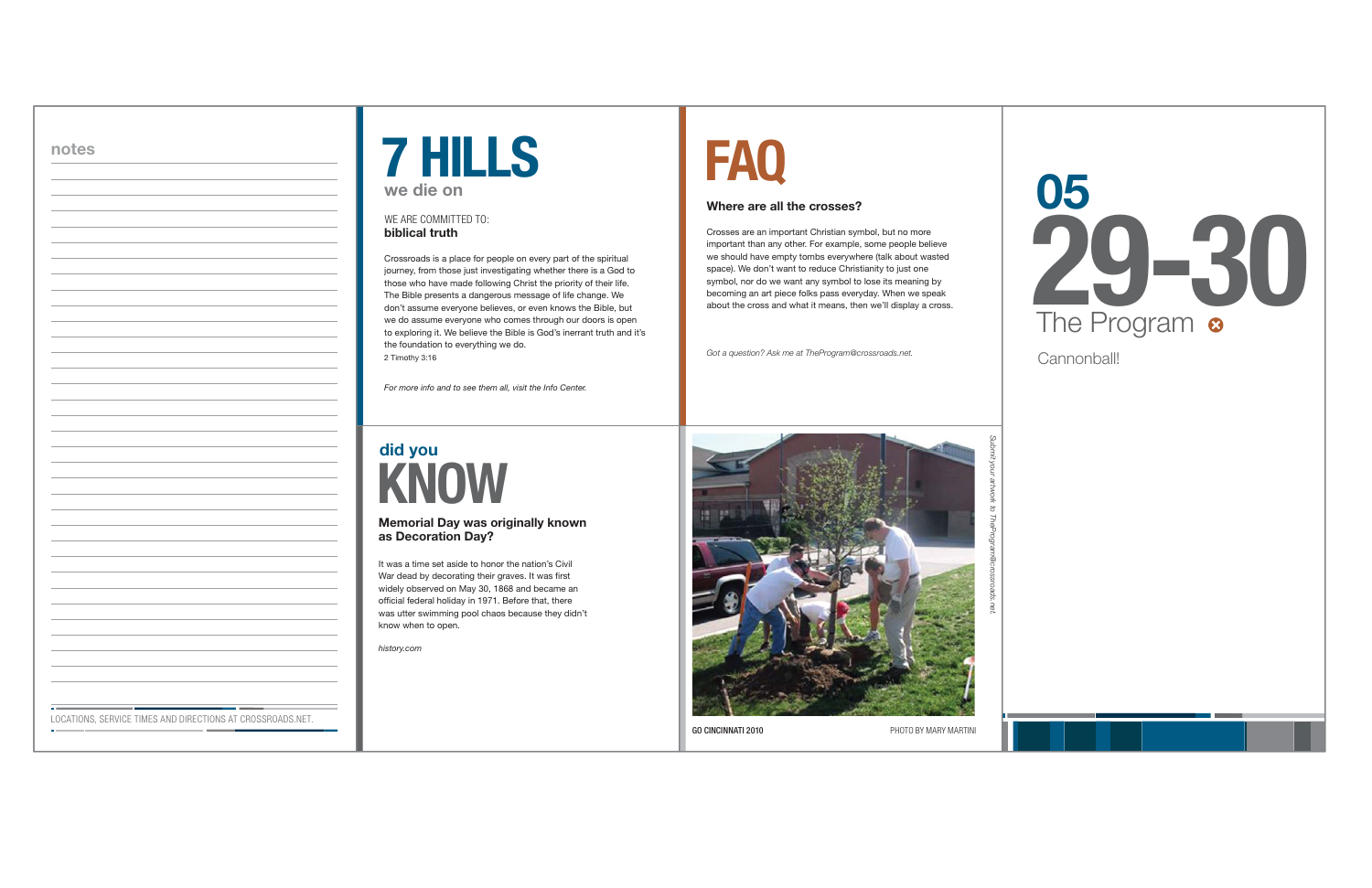

#### **Where are all the crosses?**

Crosses are an important Christian symbol, but no more important than any other. For example, some people believe we should have empty tombs everywhere (talk about wasted space). We don't want to reduce Christianity to just one symbol, nor do we want any symbol to lose its meaning by becoming an art piece folks pass everyday. When we speak about the cross and what it means, then we'll display a cross.

*Got a question? Ask me at TheProgram@crossroads.net.*



**GO CINCINNATI 2010** 

PHOTO BY MARY MARTINI

### **did you KNOW**

#### **Memorial Day was originally known as Decoration Day?**

It was a time set aside to honor the nation's Civil War dead by decorating their graves. It was first widely observed on May 30, 1868 and became an official federal holiday in 1971. Before that, there was utter swimming pool chaos because they didn't know when to open.

*history.com*

Crossroads is a place for people on every part of the spiritual journey, from those just investigating whether there is a God to those who have made following Christ the priority of their life. The Bible presents a dangerous message of life change. We don't assume everyone believes, or even knows the Bible, but we do assume everyone who comes through our doors is open to exploring it. We believe the Bible is God's inerrant truth and it's the foundation to everything we do. 2 Timothy 3:16



#### **biblical truth**WE ARE COMMITTED TO:

*For more info and to see them all, visit the Info Center.*



| M. |    |          | ۹ |
|----|----|----------|---|
|    |    |          |   |
|    | ۰. | u,<br>۰. |   |